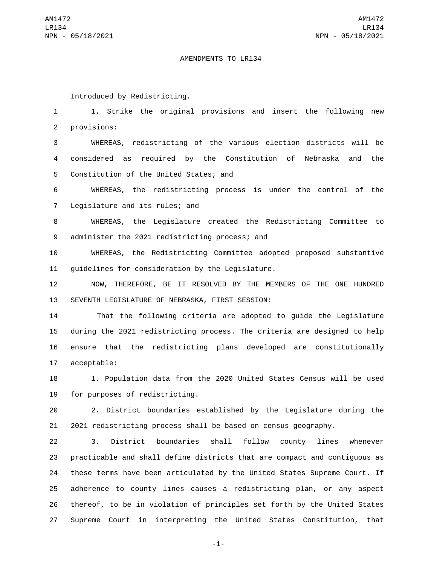## AMENDMENTS TO LR134

Introduced by Redistricting.

1 1. Strike the original provisions and insert the following new 2 provisions:

3 WHEREAS, redistricting of the various election districts will be 4 considered as required by the Constitution of Nebraska and the 5 Constitution of the United States; and

6 WHEREAS, the redistricting process is under the control of the 7 Legislature and its rules; and

8 WHEREAS, the Legislature created the Redistricting Committee to 9 administer the 2021 redistricting process; and

10 WHEREAS, the Redistricting Committee adopted proposed substantive 11 quidelines for consideration by the Legislature.

12 NOW, THEREFORE, BE IT RESOLVED BY THE MEMBERS OF THE ONE HUNDRED 13 SEVENTH LEGISLATURE OF NEBRASKA, FIRST SESSION:

14 That the following criteria are adopted to guide the Legislature 15 during the 2021 redistricting process. The criteria are designed to help 16 ensure that the redistricting plans developed are constitutionally 17 acceptable:

18 1. Population data from the 2020 United States Census will be used 19 for purposes of redistricting.

20 2. District boundaries established by the Legislature during the 21 2021 redistricting process shall be based on census geography.

 3. District boundaries shall follow county lines whenever practicable and shall define districts that are compact and contiguous as these terms have been articulated by the United States Supreme Court. If adherence to county lines causes a redistricting plan, or any aspect thereof, to be in violation of principles set forth by the United States Supreme Court in interpreting the United States Constitution, that

-1-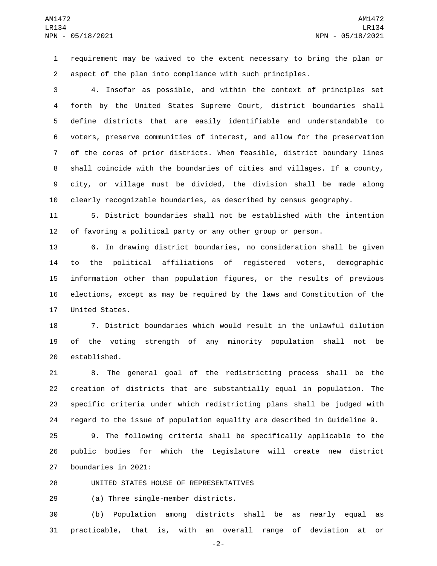requirement may be waived to the extent necessary to bring the plan or aspect of the plan into compliance with such principles.

 4. Insofar as possible, and within the context of principles set forth by the United States Supreme Court, district boundaries shall define districts that are easily identifiable and understandable to voters, preserve communities of interest, and allow for the preservation of the cores of prior districts. When feasible, district boundary lines shall coincide with the boundaries of cities and villages. If a county, city, or village must be divided, the division shall be made along clearly recognizable boundaries, as described by census geography.

 5. District boundaries shall not be established with the intention of favoring a political party or any other group or person.

 6. In drawing district boundaries, no consideration shall be given to the political affiliations of registered voters, demographic information other than population figures, or the results of previous elections, except as may be required by the laws and Constitution of the 17 United States.

 7. District boundaries which would result in the unlawful dilution of the voting strength of any minority population shall not be 20 established.

 8. The general goal of the redistricting process shall be the creation of districts that are substantially equal in population. The specific criteria under which redistricting plans shall be judged with regard to the issue of population equality are described in Guideline 9.

 9. The following criteria shall be specifically applicable to the public bodies for which the Legislature will create new district boundaries in 2021:

28 UNITED STATES HOUSE OF REPRESENTATIVES

29 (a) Three single-member districts.

 (b) Population among districts shall be as nearly equal as practicable, that is, with an overall range of deviation at or

-2-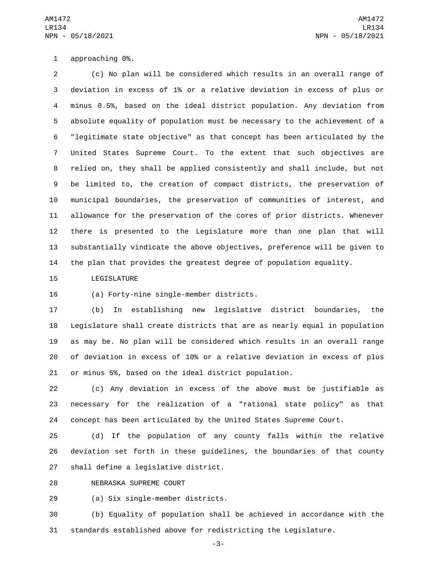1 approaching 0%.

 (c) No plan will be considered which results in an overall range of deviation in excess of 1% or a relative deviation in excess of plus or minus 0.5%, based on the ideal district population. Any deviation from absolute equality of population must be necessary to the achievement of a "legitimate state objective" as that concept has been articulated by the United States Supreme Court. To the extent that such objectives are relied on, they shall be applied consistently and shall include, but not be limited to, the creation of compact districts, the preservation of municipal boundaries, the preservation of communities of interest, and allowance for the preservation of the cores of prior districts. Whenever there is presented to the Legislature more than one plan that will substantially vindicate the above objectives, preference will be given to the plan that provides the greatest degree of population equality.

15 LEGISLATURE

16 (a) Forty-nine single-member districts.

 (b) In establishing new legislative district boundaries, the Legislature shall create districts that are as nearly equal in population as may be. No plan will be considered which results in an overall range of deviation in excess of 10% or a relative deviation in excess of plus or minus 5%, based on the ideal district population.

 (c) Any deviation in excess of the above must be justifiable as necessary for the realization of a "rational state policy" as that concept has been articulated by the United States Supreme Court.

 (d) If the population of any county falls within the relative deviation set forth in these guidelines, the boundaries of that county 27 shall define a legislative district.

28 NEBRASKA SUPREME COURT

(a) Six single-member districts.29

 (b) Equality of population shall be achieved in accordance with the standards established above for redistricting the Legislature.

-3-